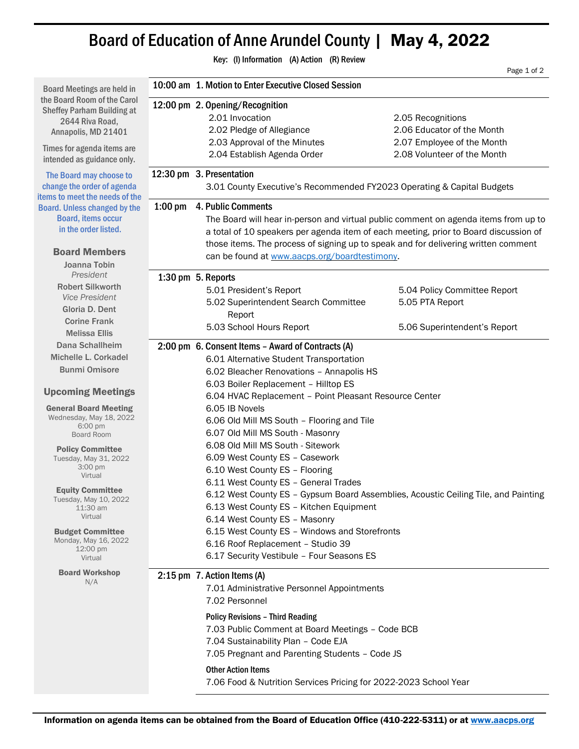## Board of Education of Anne Arundel County | May 4, 2022

| Key: (I) Information (A) Action (R) Review                                                                                                                                                                                                                                                                                       |                                                                                                                                                                                                                                                                                                                                                                                                                                                                                                                                                                                                                  |                                                                                                                                                                                                                                                                                                                                                                                      |                                                           |  |
|----------------------------------------------------------------------------------------------------------------------------------------------------------------------------------------------------------------------------------------------------------------------------------------------------------------------------------|------------------------------------------------------------------------------------------------------------------------------------------------------------------------------------------------------------------------------------------------------------------------------------------------------------------------------------------------------------------------------------------------------------------------------------------------------------------------------------------------------------------------------------------------------------------------------------------------------------------|--------------------------------------------------------------------------------------------------------------------------------------------------------------------------------------------------------------------------------------------------------------------------------------------------------------------------------------------------------------------------------------|-----------------------------------------------------------|--|
|                                                                                                                                                                                                                                                                                                                                  | Page 1 of 2<br>10:00 am 1. Motion to Enter Executive Closed Session                                                                                                                                                                                                                                                                                                                                                                                                                                                                                                                                              |                                                                                                                                                                                                                                                                                                                                                                                      |                                                           |  |
| <b>Board Meetings are held in</b>                                                                                                                                                                                                                                                                                                |                                                                                                                                                                                                                                                                                                                                                                                                                                                                                                                                                                                                                  |                                                                                                                                                                                                                                                                                                                                                                                      |                                                           |  |
| the Board Room of the Carol<br><b>Sheffey Parham Building at</b><br>2644 Riva Road,<br>Annapolis, MD 21401                                                                                                                                                                                                                       |                                                                                                                                                                                                                                                                                                                                                                                                                                                                                                                                                                                                                  | 12:00 pm 2. Opening/Recognition<br>2.01 Invocation<br>2.02 Pledge of Allegiance                                                                                                                                                                                                                                                                                                      | 2.05 Recognitions<br>2.06 Educator of the Month           |  |
| Times for agenda items are<br>intended as guidance only.                                                                                                                                                                                                                                                                         |                                                                                                                                                                                                                                                                                                                                                                                                                                                                                                                                                                                                                  | 2.03 Approval of the Minutes<br>2.04 Establish Agenda Order                                                                                                                                                                                                                                                                                                                          | 2.07 Employee of the Month<br>2.08 Volunteer of the Month |  |
| The Board may choose to<br>change the order of agenda<br>items to meet the needs of the                                                                                                                                                                                                                                          |                                                                                                                                                                                                                                                                                                                                                                                                                                                                                                                                                                                                                  | 12:30 pm 3. Presentation<br>3.01 County Executive's Recommended FY2023 Operating & Capital Budgets                                                                                                                                                                                                                                                                                   |                                                           |  |
| <b>Board. Unless changed by the</b><br><b>Board, items occur</b><br>in the order listed.<br><b>Board Members</b><br>Joanna Tobin                                                                                                                                                                                                 | $1:00$ pm<br>4. Public Comments<br>The Board will hear in-person and virtual public comment on agenda items from up to<br>a total of 10 speakers per agenda item of each meeting, prior to Board discussion of<br>those items. The process of signing up to speak and for delivering written comment<br>can be found at www.aacps.org/boardtestimony.                                                                                                                                                                                                                                                            |                                                                                                                                                                                                                                                                                                                                                                                      |                                                           |  |
| President                                                                                                                                                                                                                                                                                                                        |                                                                                                                                                                                                                                                                                                                                                                                                                                                                                                                                                                                                                  | 1:30 pm 5. Reports                                                                                                                                                                                                                                                                                                                                                                   |                                                           |  |
| <b>Robert Silkworth</b><br><b>Vice President</b><br>Gloria D. Dent                                                                                                                                                                                                                                                               |                                                                                                                                                                                                                                                                                                                                                                                                                                                                                                                                                                                                                  | 5.01 President's Report<br>5.02 Superintendent Search Committee<br>Report                                                                                                                                                                                                                                                                                                            | 5.04 Policy Committee Report<br>5.05 PTA Report           |  |
| <b>Corine Frank</b><br><b>Melissa Ellis</b>                                                                                                                                                                                                                                                                                      |                                                                                                                                                                                                                                                                                                                                                                                                                                                                                                                                                                                                                  | 5.03 School Hours Report                                                                                                                                                                                                                                                                                                                                                             | 5.06 Superintendent's Report                              |  |
| Dana Schallheim<br>Michelle L. Corkadel<br><b>Bunmi Omisore</b>                                                                                                                                                                                                                                                                  | 2:00 pm 6. Consent Items - Award of Contracts (A)<br>6.01 Alternative Student Transportation<br>6.02 Bleacher Renovations - Annapolis HS                                                                                                                                                                                                                                                                                                                                                                                                                                                                         |                                                                                                                                                                                                                                                                                                                                                                                      |                                                           |  |
| <b>Upcoming Meetings</b>                                                                                                                                                                                                                                                                                                         | 6.03 Boiler Replacement - Hilltop ES                                                                                                                                                                                                                                                                                                                                                                                                                                                                                                                                                                             |                                                                                                                                                                                                                                                                                                                                                                                      |                                                           |  |
| <b>General Board Meeting</b><br>Wednesday, May 18, 2022<br>6:00 pm<br><b>Board Room</b><br><b>Policy Committee</b><br>Tuesday, May 31, 2022<br>3:00 pm<br>Virtual<br><b>Equity Committee</b><br>Tuesday, May 10, 2022<br>11:30 am<br>Virtual<br><b>Budget Committee</b><br>Monday, May 16, 2022<br>$12:00 \text{ pm}$<br>Virtual | 6.04 HVAC Replacement - Point Pleasant Resource Center<br>6.05 IB Novels<br>6.06 Old Mill MS South - Flooring and Tile<br>6.07 Old Mill MS South - Masonry<br>6.08 Old Mill MS South - Sitework<br>6.09 West County ES - Casework<br>6.10 West County ES - Flooring<br>6.11 West County ES - General Trades<br>6.12 West County ES - Gypsum Board Assemblies, Acoustic Ceiling Tile, and Painting<br>6.13 West County ES - Kitchen Equipment<br>6.14 West County ES - Masonry<br>6.15 West County ES - Windows and Storefronts<br>6.16 Roof Replacement - Studio 39<br>6.17 Security Vestibule - Four Seasons ES |                                                                                                                                                                                                                                                                                                                                                                                      |                                                           |  |
| <b>Board Workshop</b><br>N/A                                                                                                                                                                                                                                                                                                     |                                                                                                                                                                                                                                                                                                                                                                                                                                                                                                                                                                                                                  | 2:15 pm 7. Action Items (A)<br>7.01 Administrative Personnel Appointments<br>7.02 Personnel<br><b>Policy Revisions - Third Reading</b><br>7.03 Public Comment at Board Meetings - Code BCB<br>7.04 Sustainability Plan - Code EJA<br>7.05 Pregnant and Parenting Students - Code JS<br><b>Other Action Items</b><br>7.06 Food & Nutrition Services Pricing for 2022-2023 School Year |                                                           |  |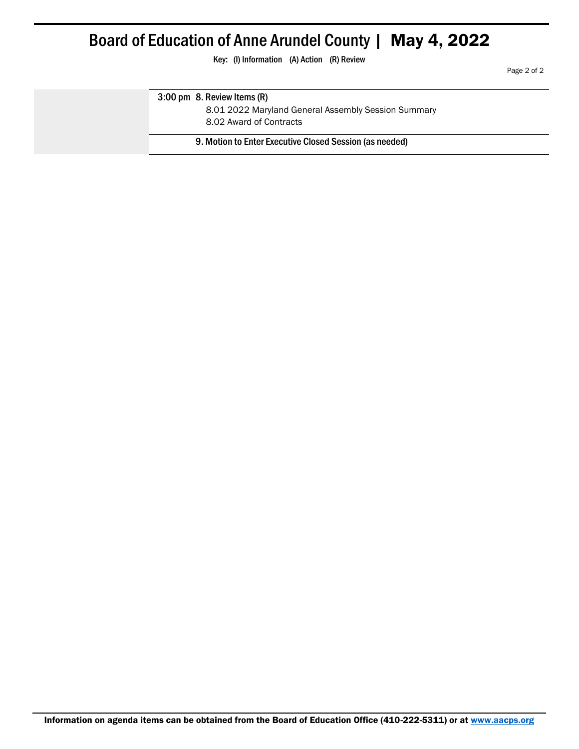## Board of Education of Anne Arundel County | May 4, 2022

Key: (I) Information (A) Action (R) Review

Page 2 of 2

## 3:00 pm 8. Review Items (R)

8.01 2022 Maryland General Assembly Session Summary

8.02 Award of Contracts

9. Motion to Enter Executive Closed Session (as needed)